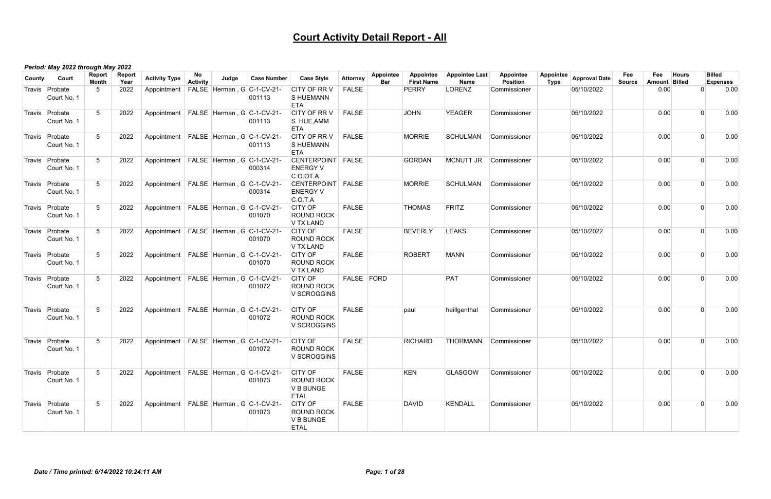| County | Court                         | Report<br><b>Month</b> | <b>Report</b><br>Year | <b>Activity Type</b>                         | No<br><b>Activity</b> | Judge | <b>Case Number</b> | <b>Case Style</b>                                               | <b>Attorney</b> | Appointee<br><b>Bar</b> | <b>Appointee</b><br><b>First Name</b> | <b>Appointee Last</b><br><b>Name</b> | <b>Appointee</b><br><b>Position</b> | Appointee<br><b>Type</b> | <b>Approval Date</b> | Fee<br><b>Source</b> | Fee<br>Amount Billed | <b>Hours</b> | <b>Billed</b> | <b>Expenses</b> |
|--------|-------------------------------|------------------------|-----------------------|----------------------------------------------|-----------------------|-------|--------------------|-----------------------------------------------------------------|-----------------|-------------------------|---------------------------------------|--------------------------------------|-------------------------------------|--------------------------|----------------------|----------------------|----------------------|--------------|---------------|-----------------|
|        | Travis Probate<br>Court No. 1 | 5                      | 2022                  | Appointment   FALSE   Herman, G   C-1-CV-21- |                       |       | 001113             | <b>CITY OF RRV</b><br>S HUEMANN<br><b>ETA</b>                   | <b>FALSE</b>    |                         | PERRY                                 | LORENZ                               | Commissioner                        |                          | 05/10/2022           |                      | 0.00                 |              |               | 0.00            |
|        | Travis Probate<br>Court No. 1 | 5                      | 2022                  | Appointment   FALSE   Herman, G   C-1-CV-21- |                       |       | 001113             | <b>CITY OF RRV</b><br>S HUE, AMM<br><b>ETA</b>                  | <b>FALSE</b>    |                         | <b>JOHN</b>                           | <b>YEAGER</b>                        | Commissioner                        |                          | 05/10/2022           |                      | 0.00                 |              |               | 0.00            |
|        | Travis Probate<br>Court No. 1 | $5\overline{)}$        | 2022                  | Appointment   FALSE   Herman, G   C-1-CV-21- |                       |       | 001113             | <b>CITY OF RRV</b><br>S HUEMANN<br><b>ETA</b>                   | <b>FALSE</b>    |                         | <b>MORRIE</b>                         | <b>SCHULMAN</b>                      | Commissioner                        |                          | 05/10/2022           |                      | 0.00                 |              |               | 0.00            |
|        | Travis Probate<br>Court No. 1 | 5 <sup>5</sup>         | 2022                  | Appointment   FALSE   Herman, G   C-1-CV-21- |                       |       | 000314             | CENTERPOINT<br><b>ENERGY V</b><br>C.O.O.A                       | <b>FALSE</b>    |                         | GORDAN                                | MCNUTT JR                            | Commissioner                        |                          | 05/10/2022           |                      | 0.00                 |              |               | 0.00            |
|        | Travis Probate<br>Court No. 1 | 5                      | 2022                  | Appointment   FALSE   Herman, G   C-1-CV-21- |                       |       | 000314             | CENTERPOINT<br><b>ENERGY V</b><br>C.O.T.A                       | <b>FALSE</b>    |                         | <b>MORRIE</b>                         | SCHULMAN                             | Commissioner                        |                          | 05/10/2022           |                      | 0.00                 |              |               | 0.00            |
|        | Travis Probate<br>Court No. 1 | 5 <sup>5</sup>         | 2022                  | Appointment   FALSE   Herman, G   C-1-CV-21- |                       |       | 001070             | <b>CITY OF</b><br><b>ROUND ROCK</b><br>V TX LAND                | <b>FALSE</b>    |                         | <b>THOMAS</b>                         | <b>FRITZ</b>                         | Commissioner                        |                          | 05/10/2022           |                      | 0.00                 |              |               | 0.00            |
| Travis | Probate<br>Court No. 1        | $5^{\circ}$            | 2022                  | Appointment   FALSE   Herman, G   C-1-CV-21- |                       |       | 001070             | <b>CITY OF</b><br><b>ROUND ROCK</b><br>V TX LAND                | <b>FALSE</b>    |                         | <b>BEVERLY</b>                        | <b>LEAKS</b>                         | Commissioner                        |                          | 05/10/2022           |                      | 0.00                 |              |               | 0.00            |
|        | Travis Probate<br>Court No. 1 | 5                      | 2022                  | Appointment   FALSE   Herman, G   C-1-CV-21- |                       |       | 001070             | <b>CITY OF</b><br><b>ROUND ROCK</b><br>V TX LAND                | <b>FALSE</b>    |                         | <b>ROBERT</b>                         | <b>MANN</b>                          | Commissioner                        |                          | 05/10/2022           |                      | 0.00                 |              |               | 0.00            |
|        | Travis Probate<br>Court No. 1 | 5                      | 2022                  | Appointment   FALSE   Herman, G   C-1-CV-21- |                       |       | 001072             | <b>CITY OF</b><br><b>ROUND ROCK</b><br><b>V SCROGGINS</b>       | FALSE FORD      |                         |                                       | PAT                                  | Commissioner                        |                          | 05/10/2022           |                      | 0.00                 |              |               | 0.00            |
|        | Travis Probate<br>Court No. 1 | $5^{\circ}$            | 2022                  | Appointment   FALSE   Herman, G   C-1-CV-21- |                       |       | 001072             | <b>CITY OF</b><br><b>ROUND ROCK</b><br>V SCROGGINS              | <b>FALSE</b>    |                         | paul                                  | heillgenthal                         | Commissioner                        |                          | 05/10/2022           |                      | 0.00                 |              |               | 0.00            |
|        | Travis Probate<br>Court No. 1 | 5 <sup>5</sup>         | 2022                  | Appointment   FALSE   Herman, G   C-1-CV-21- |                       |       | 001072             | <b>CITY OF</b><br><b>ROUND ROCK</b><br>V SCROGGINS              | <b>FALSE</b>    |                         | <b>RICHARD</b>                        | <b>THORMANN</b>                      | Commissioner                        |                          | 05/10/2022           |                      | 0.00                 |              |               | 0.00            |
|        | Travis Probate<br>Court No. 1 | $5\overline{)}$        | 2022                  | Appointment   FALSE   Herman, G   C-1-CV-21- |                       |       | 001073             | <b>CITY OF</b><br><b>ROUND ROCK</b><br>V B BUNGE<br><b>ETAL</b> | <b>FALSE</b>    |                         | KEN                                   | GLASGOW                              | Commissioner                        |                          | 05/10/2022           |                      | 0.00                 |              |               | 0.00            |
|        | Travis Probate<br>Court No. 1 | 5                      | 2022                  | Appointment   FALSE   Herman, G   C-1-CV-21- |                       |       | 001073             | <b>CITY OF</b><br><b>ROUND ROCK</b><br>V B BUNGE<br><b>ETAL</b> | <b>FALSE</b>    |                         | <b>DAVID</b>                          | <b>KENDALL</b>                       | Commissioner                        |                          | 05/10/2022           |                      | 0.00                 |              |               | 0.00            |

## **Court Activity Detail Report - All**

## *Period: May 2022 through May 2022*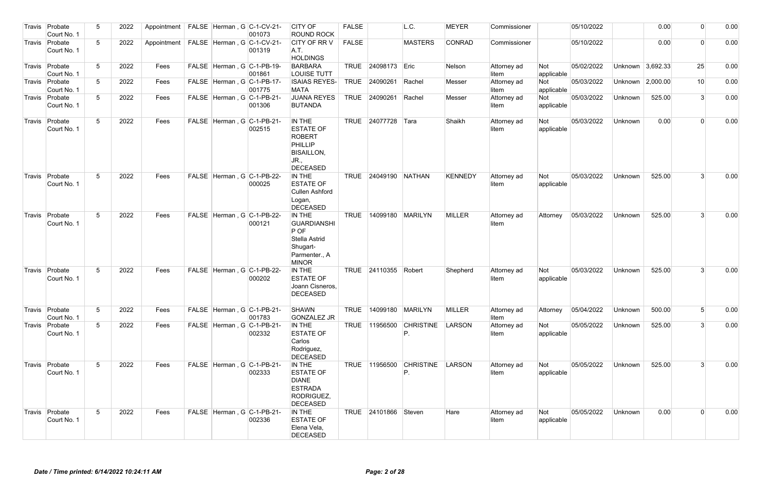|        | Travis Probate<br>Court No. 1 |                 | 2022 | Appointment   FALSE   Herman, G   C-1-CV-21- |                                | 001073 | <b>CITY OF</b><br><b>ROUND ROCK</b>                                                                    | <b>FALSE</b> |                      | L.C.                            | MEYER         | Commissioner         |                   | 05/10/2022 |                  | 0.00   |                | 0.00 |
|--------|-------------------------------|-----------------|------|----------------------------------------------|--------------------------------|--------|--------------------------------------------------------------------------------------------------------|--------------|----------------------|---------------------------------|---------------|----------------------|-------------------|------------|------------------|--------|----------------|------|
|        | Travis Probate<br>Court No. 1 | $5\overline{)}$ | 2022 | Appointment   FALSE   Herman, G   C-1-CV-21- |                                | 001319 | <b>CITY OF RRV</b><br>A.T.<br><b>HOLDINGS</b>                                                          | <b>FALSE</b> |                      | <b>MASTERS</b>                  | CONRAD        | Commissioner         |                   | 05/10/2022 |                  | 0.00   | $\Omega$       | 0.00 |
|        | Travis Probate<br>Court No. 1 | 5               | 2022 | Fees                                         | FALSE Herman, G C-1-PB-19-     | 001861 | <b>BARBARA</b><br>LOUISE TUTT                                                                          |              | TRUE 24098173 Eric   |                                 | Nelson        | Attorney ad<br>litem | Not<br>applicable | 05/02/2022 | Unknown 3,692.33 |        | 25             | 0.00 |
|        | Travis Probate<br>Court No. 1 | 5               | 2022 | Fees                                         | FALSE Herman, G C-1-PB-17-     | 001775 | <b>ISAIAS REYES-</b><br><b>MATA</b>                                                                    |              | TRUE 24090261        | Rachel                          | Messer        | Attorney ad<br>litem | Not<br>applicable | 05/03/2022 | Unknown 2,000.00 |        | 10             | 0.00 |
| Travis | Probate<br>Court No. 1        | $5^{\circ}$     | 2022 | Fees                                         | FALSE Herman, G C-1-PB-21-     | 001306 | <b>JUANA REYES</b><br><b>BUTANDA</b>                                                                   |              | TRUE 24090261        | Rachel                          | Messer        | Attorney ad<br>litem | Not<br>applicable | 05/03/2022 | Unknown          | 525.00 | $\mathcal{R}$  | 0.00 |
| Travis | Probate<br>Court No. 1        | 5               | 2022 | Fees                                         | FALSE Herman, G C-1-PB-21-     | 002515 | IN THE<br><b>ESTATE OF</b><br><b>ROBERT</b><br>PHILLIP<br><b>BISAILLON,</b><br>JR.,<br><b>DECEASED</b> |              | TRUE 24077728        | $ T$ ara                        | Shaikh        | Attorney ad<br>litem | Not<br>applicable | 05/03/2022 | Unknown          | 0.00   | $\Omega$       | 0.00 |
|        | Travis Probate<br>Court No. 1 | 5               | 2022 | Fees                                         | FALSE Herman, G C-1-PB-22-     | 000025 | IN THE<br><b>ESTATE OF</b><br><b>Cullen Ashford</b><br>Logan,<br><b>DECEASED</b>                       |              | TRUE 24049190 NATHAN |                                 | KENNEDY       | Attorney ad<br>litem | Not<br>applicable | 05/03/2022 | Unknown          | 525.00 | $\overline{3}$ | 0.00 |
| Travis | Probate<br>Court No. 1        | 5               | 2022 | Fees                                         | FALSE   Herman, G   C-1-PB-22- | 000121 | IN THE<br><b>GUARDIANSHI</b><br>$P$ OF<br>Stella Astrid<br>Shugart-<br>Parmenter., A<br><b>MINOR</b>   | <b>TRUE</b>  |                      | 14099180 MARILYN                | <b>MILLER</b> | Attorney ad<br>litem | Attorney          | 05/03/2022 | Unknown          | 525.00 | $\mathcal{E}$  | 0.00 |
| Travis | Probate<br>Court No. 1        | 5               | 2022 | Fees                                         | FALSE Herman, G C-1-PB-22-     | 000202 | IN THE<br><b>ESTATE OF</b><br>Joann Cisneros,<br><b>DECEASED</b>                                       |              | TRUE 24110355        | Robert                          | Shepherd      | Attorney ad<br>litem | Not<br>applicable | 05/03/2022 | Unknown          | 525.00 | $\overline{3}$ | 0.00 |
|        | Travis Probate<br>Court No. 1 |                 | 2022 | Fees                                         | FALSE   Herman, G   C-1-PB-21- | 001783 | SHAWN<br><b>GONZALEZ JR</b>                                                                            | <b>TRUE</b>  |                      | 14099180 MARILYN                | MILLER        | Attorney ad<br>litem | Attorney          | 05/04/2022 | Unknown          | 500.00 |                | 0.00 |
|        | Travis Probate<br>Court No. 1 | $5\overline{)}$ | 2022 | Fees                                         | FALSE Herman, G C-1-PB-21-     | 002332 | IN THE<br><b>ESTATE OF</b><br>Carlos<br>Rodriguez,<br>DECEASED                                         | <b>TRUE</b>  |                      | 11956500 CHRISTINE LARSON<br>Р. |               | Attorney ad<br>litem | Not<br>applicable | 05/05/2022 | Unknown          | 525.00 | 3 <sup>1</sup> | 0.00 |
|        | Travis Probate<br>Court No. 1 | 5               | 2022 | Fees                                         | FALSE Herman, G C-1-PB-21-     | 002333 | IN THE<br><b>ESTATE OF</b><br><b>DIANE</b><br><b>ESTRADA</b><br>RODRIGUEZ,<br><b>DECEASED</b>          | <b>TRUE</b>  | 11956500             | CHRISTINE LARSON<br>Ρ.          |               | Attorney ad<br>litem | Not<br>applicable | 05/05/2022 | Unknown          | 525.00 | $\mathcal{E}$  | 0.00 |
|        | Travis Probate<br>Court No. 1 | 5               | 2022 | Fees                                         | FALSE Herman, G C-1-PB-21-     | 002336 | IN THE<br><b>ESTATE OF</b><br>Elena Vela,<br><b>DECEASED</b>                                           |              | TRUE 24101866 Steven |                                 | Hare          | Attorney ad<br>litem | Not<br>applicable | 05/05/2022 | Unknown          | 0.00   | $\Omega$       | 0.00 |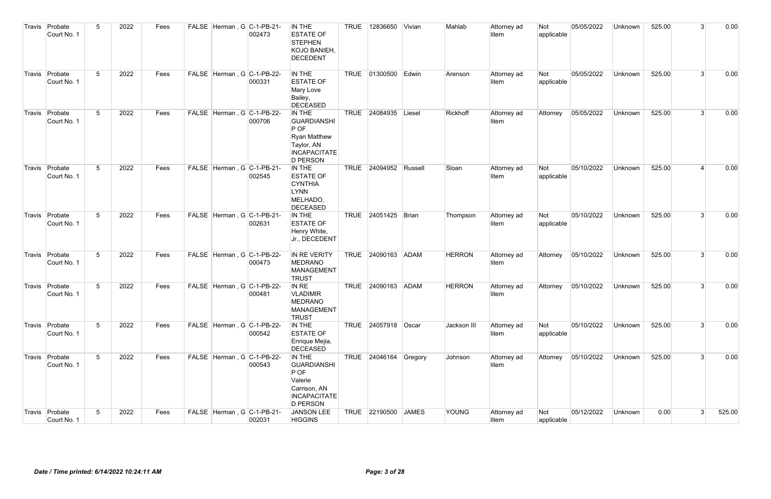| Travis | Probate<br>Court No. 1        |                 | 2022 | Fees | FALSE Herman, G C-1-PB-21- | 002473 | IN THE<br><b>ESTATE OF</b><br><b>STEPHEN</b><br>KOJO BANIEH,<br><b>DECEDENT</b>                                | <b>TRUE</b> | 12836650              | Vivian  | Mahlab        | Attorney ad<br>litem | Not<br>applicable | 05/05/2022 | Unknown | 525.00 |                | 0.00   |
|--------|-------------------------------|-----------------|------|------|----------------------------|--------|----------------------------------------------------------------------------------------------------------------|-------------|-----------------------|---------|---------------|----------------------|-------------------|------------|---------|--------|----------------|--------|
| Travis | Probate<br>Court No. 1        | 5               | 2022 | Fees | FALSE Herman, G C-1-PB-22- | 000331 | IN THE<br><b>ESTATE OF</b><br>Mary Love<br>Bailey,<br><b>DECEASED</b>                                          | <b>TRUE</b> | 01300500              | Edwin   | Arenson       | Attorney ad<br>litem | Not<br>applicable | 05/05/2022 | Unknown | 525.00 | 3 <sup>1</sup> | 0.00   |
| Travis | Probate<br>Court No. 1        | 5               | 2022 | Fees | FALSE Herman, G C-1-PB-22- | 000706 | IN THE<br><b>GUARDIANSHI</b><br>$P$ OF<br><b>Ryan Matthew</b><br>Taylor, AN<br><b>INCAPACITATE</b><br>D PERSON | <b>TRUE</b> | 24084935 Liesel       |         | Rickhoff      | Attorney ad<br>litem | Attorney          | 05/05/2022 | Unknown | 525.00 | $\mathcal{E}$  | 0.00   |
| Travis | Probate<br>Court No. 1        | 5               | 2022 | Fees | FALSE Herman, G C-1-PB-21- | 002545 | IN THE<br><b>ESTATE OF</b><br><b>CYNTHIA</b><br><b>LYNN</b><br>MELHADO,<br>DECEASED                            | <b>TRUE</b> | 24094952              | Russell | Sloan         | Attorney ad<br>litem | Not<br>applicable | 05/10/2022 | Unknown | 525.00 |                | 0.00   |
| Travis | Probate<br>Court No. 1        | 5               | 2022 | Fees | FALSE Herman, G C-1-PB-21- | 002631 | IN THE<br><b>ESTATE OF</b><br>Henry White,<br>Jr., DECEDENT                                                    | <b>TRUE</b> | 24051425 Brian        |         | Thompson      | Attorney ad<br>litem | Not<br>applicable | 05/10/2022 | Unknown | 525.00 | $\mathcal{R}$  | 0.00   |
| Travis | Probate<br>Court No. 1        | 5               | 2022 | Fees | FALSE Herman, G C-1-PB-22- | 000473 | IN REVERITY<br><b>MEDRANO</b><br>MANAGEMENT<br><b>TRUST</b>                                                    | <b>TRUE</b> | 24090163              | ADAM    | <b>HERRON</b> | Attorney ad<br>litem | Attorney          | 05/10/2022 | Unknown | 525.00 | $\mathbf{3}$   | 0.00   |
| Travis | Probate<br>Court No. 1        | 5               | 2022 | Fees | FALSE Herman, G C-1-PB-22- | 000481 | IN RE<br><b>VLADIMIR</b><br>MEDRANO<br>MANAGEMENT<br><b>TRUST</b>                                              | <b>TRUE</b> | 24090163 ADAM         |         | <b>HERRON</b> | Attorney ad<br>litem | Attorney          | 05/10/2022 | Unknown | 525.00 | $\overline{3}$ | 0.00   |
|        | Travis Probate<br>Court No. 1 | $5^{\circ}$     | 2022 | Fees | FALSE Herman, G C-1-PB-22- | 000542 | IN THE<br><b>ESTATE OF</b><br>Enrique Mejia,<br><b>DECEASED</b>                                                |             | TRUE 24057918 Oscar   |         | Jackson III   | Attorney ad<br>litem | Not<br>applicable | 05/10/2022 | Unknown | 525.00 | $\mathcal{E}$  | 0.00   |
|        | Travis Probate<br>Court No. 1 | 5               | 2022 | Fees | FALSE Herman, G C-1-PB-22- | 000543 | IN THE<br><b>GUARDIANSHI</b><br>$P$ OF<br>Valerie<br>Carrison, AN<br>INCAPACITATE<br>D PERSON                  |             | TRUE 24046164 Gregory |         | Johnson       | Attorney ad<br>litem | Attorney          | 05/10/2022 | Unknown | 525.00 | $\mathcal{E}$  | 0.00   |
|        | Travis Probate<br>Court No. 1 | $5\overline{)}$ | 2022 | Fees | FALSE Herman, G C-1-PB-21- | 002031 | JANSON LEE<br><b>HIGGINS</b>                                                                                   |             | TRUE 22190500 JAMES   |         | YOUNG         | Attorney ad<br>litem | Not<br>applicable | 05/12/2022 | Unknown | 0.00   |                | 525.00 |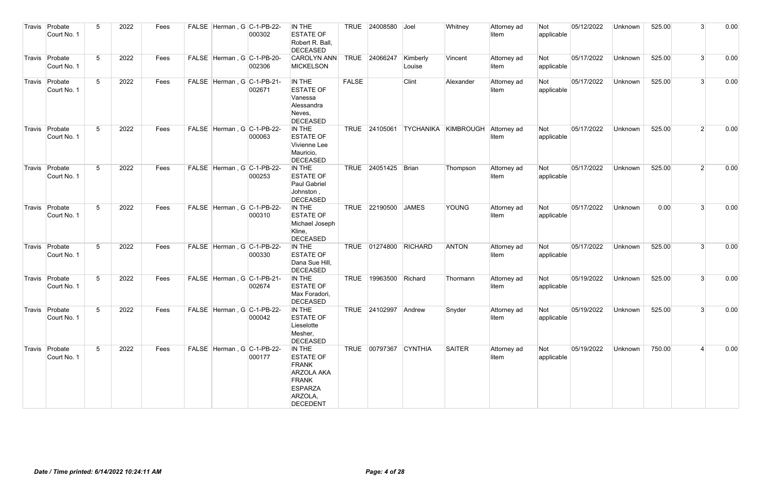| Travis | Probate<br>Court No. 1        |                 | 2022 | Fees | FALSE   Herman, G   C-1-PB-22- | 000302 | IN THE<br><b>ESTATE OF</b><br>Robert R. Ball,<br><b>DECEASED</b>                                           | <b>TRUE</b>  | 24008580              | <b>Joel</b>        | Whitney             | Attorney ad<br>litem | Not<br>applicable | 05/12/2022 | Unknown | 525.00 | $\mathcal{S}$  | 0.00 |
|--------|-------------------------------|-----------------|------|------|--------------------------------|--------|------------------------------------------------------------------------------------------------------------|--------------|-----------------------|--------------------|---------------------|----------------------|-------------------|------------|---------|--------|----------------|------|
| Travis | Probate<br>Court No. 1        | 5               | 2022 | Fees | FALSE Herman, G C-1-PB-20-     | 002306 | <b>CAROLYN ANN</b><br>MICKELSON                                                                            | <b>TRUE</b>  | 24066247              | Kimberly<br>Louise | Vincent             | Attorney ad<br>litem | Not<br>applicable | 05/17/2022 | Unknown | 525.00 | $\mathcal{E}$  | 0.00 |
|        | Travis Probate<br>Court No. 1 | 5               | 2022 | Fees | FALSE Herman, G C-1-PB-21-     | 002671 | IN THE<br><b>ESTATE OF</b><br>Vanessa<br>Alessandra<br>Neves,<br><b>DECEASED</b>                           | <b>FALSE</b> |                       | Clint              | Alexander           | Attorney ad<br>litem | Not<br>applicable | 05/17/2022 | Unknown | 525.00 | $\mathbf{3}$   | 0.00 |
| Travis | Probate<br>Court No. 1        | 5               | 2022 | Fees | FALSE Herman, G C-1-PB-22-     | 000063 | IN THE<br><b>ESTATE OF</b><br>Vivienne Lee<br>Mauricio,<br>DECEASED                                        | <b>TRUE</b>  | 24105061              |                    | TYCHANIKA KIMBROUGH | Attorney ad<br>litem | Not<br>applicable | 05/17/2022 | Unknown | 525.00 | 2 <sup>2</sup> | 0.00 |
| Travis | Probate<br>Court No. 1        | 5               | 2022 | Fees | FALSE Herman, G C-1-PB-22-     | 000253 | IN THE<br><b>ESTATE OF</b><br>Paul Gabriel<br>Johnston,<br><b>DECEASED</b>                                 |              | TRUE 24051425   Brian |                    | Thompson            | Attorney ad<br>litem | Not<br>applicable | 05/17/2022 | Unknown | 525.00 | $\vert$ 2      | 0.00 |
| Travis | Probate<br>Court No. 1        | $5^{\circ}$     | 2022 | Fees | FALSE Herman, G C-1-PB-22-     | 000310 | IN THE<br><b>ESTATE OF</b><br>Michael Joseph<br>Kline,<br><b>DECEASED</b>                                  |              | TRUE 22190500         | <b>JAMES</b>       | YOUNG               | Attorney ad<br>litem | Not<br>applicable | 05/17/2022 | Unknown | 0.00   | $\mathcal{E}$  | 0.00 |
| Travis | Probate<br>Court No. 1        | 5               | 2022 | Fees | FALSE Herman, G C-1-PB-22-     | 000330 | IN THE<br><b>ESTATE OF</b><br>Dana Sue Hill,<br><b>DECEASED</b>                                            | <b>TRUE</b>  | 01274800 RICHARD      |                    | <b>ANTON</b>        | Attorney ad<br>litem | Not<br>applicable | 05/17/2022 | Unknown | 525.00 | $\mathcal{E}$  | 0.00 |
| Travis | Probate<br>Court No. 1        | 5               | 2022 | Fees | FALSE Herman, G C-1-PB-21-     | 002674 | IN THE<br><b>ESTATE OF</b><br>Max Foradori,<br><b>DECEASED</b>                                             | <b>TRUE</b>  | 19963500              | Richard            | Thormann            | Attorney ad<br>litem | Not<br>applicable | 05/19/2022 | Unknown | 525.00 | $\overline{3}$ | 0.00 |
|        | Travis Probate<br>Court No. 1 |                 | 2022 | Fees | FALSE Herman, G C-1-PB-22-     | 000042 | IN THE<br><b>ESTATE OF</b><br>Lieselotte<br>Mesher,<br><b>DECEASED</b>                                     |              | TRUE 24102997 Andrew  |                    | Snyder              | Attorney ad<br>litem | Not<br>applicable | 05/19/2022 | Unknown | 525.00 |                | 0.00 |
|        | Travis Probate<br>Court No. 1 | $5\overline{)}$ | 2022 | Fees | FALSE Herman, G C-1-PB-22-     | 000177 | IN THE<br><b>ESTATE OF</b><br>FRANK<br><b>ARZOLA AKA</b><br>FRANK<br><b>ESPARZA</b><br>ARZOLA,<br>DECEDENT |              | TRUE 00797367 CYNTHIA |                    | SAITER              | Attorney ad<br>litem | Not<br>applicable | 05/19/2022 | Unknown | 750.00 |                | 0.00 |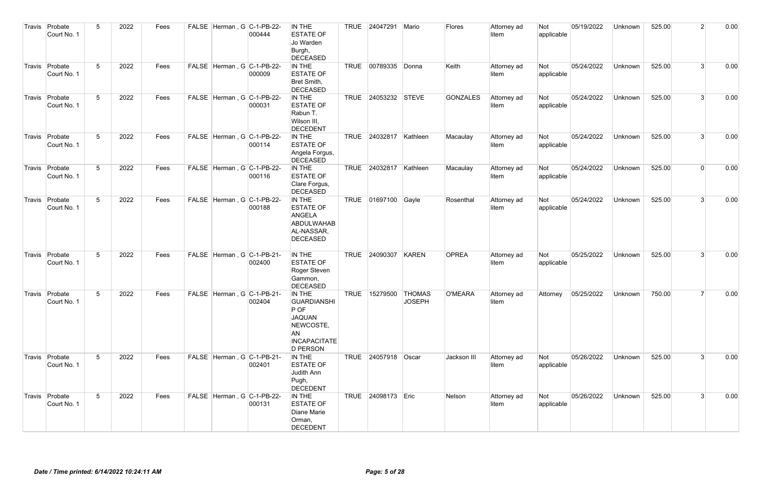| Travis | Probate<br>Court No. 1        |                 | 2022 | Fees |                            | FALSE Herman, G C-1-PB-22-<br>000444 | IN THE<br><b>ESTATE OF</b><br>Jo Warden<br>Burgh,<br><b>DECEASED</b>                                          | <b>TRUE</b> | 24047291            | Mario                          | Flores          | Attorney ad<br>litem | Not<br>applicable | 05/19/2022 | Unknown | 525.00 | 2                 | 0.00 |
|--------|-------------------------------|-----------------|------|------|----------------------------|--------------------------------------|---------------------------------------------------------------------------------------------------------------|-------------|---------------------|--------------------------------|-----------------|----------------------|-------------------|------------|---------|--------|-------------------|------|
|        | Travis Probate<br>Court No. 1 | $5\overline{)}$ | 2022 | Fees | FALSE Herman, G C-1-PB-22- | 000009                               | IN THE<br><b>ESTATE OF</b><br>Bret Smith,<br><b>DECEASED</b>                                                  | <b>TRUE</b> | 00789335 Donna      |                                | Keith           | Attorney ad<br>litem | Not<br>applicable | 05/24/2022 | Unknown | 525.00 | $\lvert 3 \rvert$ | 0.00 |
|        | Travis Probate<br>Court No. 1 | 5               | 2022 | Fees |                            | FALSE Herman, G C-1-PB-22-<br>000031 | IN THE<br><b>ESTATE OF</b><br>Rabun T.<br>Wilson III,<br>DECEDENT                                             | <b>TRUE</b> | 24053232 STEVE      |                                | <b>GONZALES</b> | Attorney ad<br>litem | Not<br>applicable | 05/24/2022 | Unknown | 525.00 | 3                 | 0.00 |
| Travis | Probate<br>Court No. 1        | 5               | 2022 | Fees | FALSE Herman, G C-1-PB-22- | 000114                               | IN THE<br><b>ESTATE OF</b><br>Angela Forgus,<br>DECEASED                                                      | <b>TRUE</b> | 24032817            | Kathleen                       | Macaulay        | Attorney ad<br>litem | Not<br>applicable | 05/24/2022 | Unknown | 525.00 | $\mathcal{E}$     | 0.00 |
|        | Travis Probate<br>Court No. 1 | 5               | 2022 | Fees | FALSE Herman, G C-1-PB-22- | 000116                               | IN THE<br><b>ESTATE OF</b><br>Clare Forgus,<br>DECEASED                                                       | <b>TRUE</b> | 24032817            | Kathleen                       | Macaulay        | Attorney ad<br>litem | Not<br>applicable | 05/24/2022 | Unknown | 525.00 | $\Omega$          | 0.00 |
|        | Travis Probate<br>Court No. 1 | 5               | 2022 | Fees |                            | FALSE Herman, G C-1-PB-22-<br>000188 | IN THE<br><b>ESTATE OF</b><br><b>ANGELA</b><br><b>ABDULWAHAB</b><br>AL-NASSAR<br><b>DECEASED</b>              | <b>TRUE</b> | 01697100 Gayle      |                                | Rosenthal       | Attorney ad<br>litem | Not<br>applicable | 05/24/2022 | Unknown | 525.00 | $\mathcal{R}$     | 0.00 |
|        | Travis Probate<br>Court No. 1 | 5               | 2022 | Fees | FALSE Herman, G C-1-PB-21- | 002400                               | IN THE<br><b>ESTATE OF</b><br>Roger Steven<br>Gammon,<br>DECEASED                                             | <b>TRUE</b> | 24090307            | KAREN                          | <b>OPREA</b>    | Attorney ad<br>litem | Not<br>applicable | 05/25/2022 | Unknown | 525.00 | $\lvert 3 \rvert$ | 0.00 |
|        | Travis Probate<br>Court No. 1 | 5               | 2022 | Fees |                            | FALSE Herman, G C-1-PB-21-<br>002404 | IN THE<br><b>GUARDIANSHI</b><br>$P$ OF<br><b>JAQUAN</b><br>NEWCOSTE,<br>AN<br><b>INCAPACITATE</b><br>D PERSON | <b>TRUE</b> | 15279500            | <b>THOMAS</b><br><b>JOSEPH</b> | O'MEARA         | Attorney ad<br>litem | Attorney          | 05/25/2022 | Unknown | 750.00 |                   | 0.00 |
|        | Travis Probate<br>Court No. 1 | $5\overline{)}$ | 2022 | Fees | FALSE Herman, G C-1-PB-21- | 002401                               | IN THE<br><b>ESTATE OF</b><br>Judith Ann<br>Pugh,<br>DECEDENT                                                 |             | TRUE 24057918 Oscar |                                | Jackson III     | Attorney ad<br>litem | Not<br>applicable | 05/26/2022 | Unknown | 525.00 | $\mathcal{E}$     | 0.00 |
|        | Travis Probate<br>Court No. 1 | $5\overline{)}$ | 2022 | Fees |                            | FALSE Herman, G C-1-PB-22-<br>000131 | IN THE<br><b>ESTATE OF</b><br>Diane Marie<br>Orman,<br><b>DECEDENT</b>                                        |             | TRUE 24098173 Eric  |                                | Nelson          | Attorney ad<br>litem | Not<br>applicable | 05/26/2022 | Unknown | 525.00 | 3 <sup>l</sup>    | 0.00 |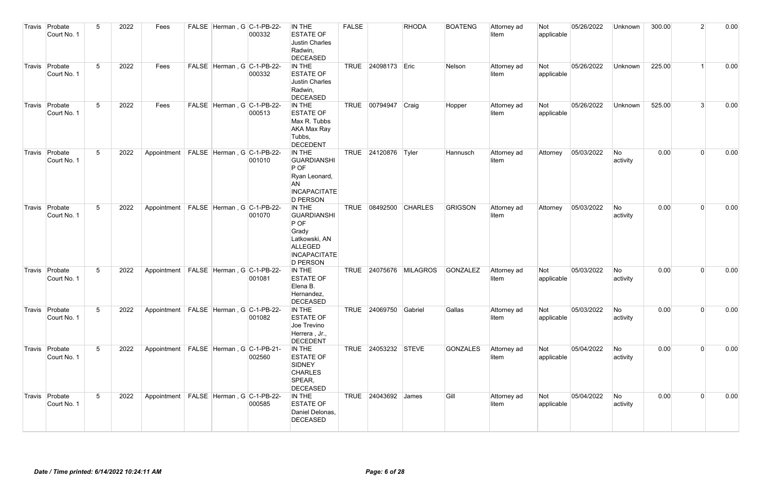|        | Travis Probate<br>Court No. 1 |                 | 2022 | Fees                                         | FALSE Herman, G C-1-PB-22-  | 000332 | IN THE<br><b>ESTATE OF</b><br><b>Justin Charles</b><br>Radwin,<br><b>DECEASED</b>                                     | <b>FALSE</b> |                       | <b>RHODA</b>      | <b>BOATENG</b> | Attorney ad<br>litem | Not<br>applicable | 05/26/2022 | Unknown        | 300.00 | 2        | 0.00 |
|--------|-------------------------------|-----------------|------|----------------------------------------------|-----------------------------|--------|-----------------------------------------------------------------------------------------------------------------------|--------------|-----------------------|-------------------|----------------|----------------------|-------------------|------------|----------------|--------|----------|------|
|        | Travis Probate<br>Court No. 1 | $5\overline{)}$ | 2022 | Fees                                         | FALSE Herman, $G/C-1-PB-22$ | 000332 | IN THE<br><b>ESTATE OF</b><br><b>Justin Charles</b><br>Radwin,<br><b>DECEASED</b>                                     |              | TRUE 24098173 Eric    |                   | Nelson         | Attorney ad<br>litem | Not<br>applicable | 05/26/2022 | Unknown        | 225.00 |          | 0.00 |
|        | Travis Probate<br>Court No. 1 | $5^{\circ}$     | 2022 | Fees                                         | FALSE Herman, G C-1-PB-22-  | 000513 | IN THE<br><b>ESTATE OF</b><br>Max R. Tubbs<br><b>AKA Max Ray</b><br>Tubbs,<br><b>DECEDENT</b>                         |              | TRUE 00794947 Craig   |                   | Hopper         | Attorney ad<br>litem | Not<br>applicable | 05/26/2022 | Unknown        | 525.00 | 3        | 0.00 |
| Travis | Probate<br>Court No. 1        | $5\overline{)}$ | 2022 | Appointment   FALSE   Herman, G   C-1-PB-22- |                             | 001010 | IN THE<br><b>GUARDIANSHI</b><br>$P$ OF<br>Ryan Leonard,<br>AN<br><b>INCAPACITATE</b><br>D PERSON                      |              | TRUE 24120876 Tyler   |                   | Hannusch       | Attorney ad<br>litem | Attorney          | 05/03/2022 | No<br>activity | 0.00   | $\Omega$ | 0.00 |
|        | Travis Probate<br>Court No. 1 | 5               | 2022 | Appointment   FALSE   Herman, G   C-1-PB-22- |                             | 001070 | IN THE<br><b>GUARDIANSHI</b><br>$P$ OF<br>Grady<br>Latkowski, AN<br><b>ALLEGED</b><br><b>INCAPACITATE</b><br>D PERSON | <b>TRUE</b>  | 08492500 CHARLES      |                   | GRIGSON        | Attorney ad<br>litem | Attorney          | 05/03/2022 | No<br>activity | 0.00   | $\Omega$ | 0.00 |
|        | Travis Probate<br>Court No. 1 | $5\phantom{.0}$ | 2022 | Appointment   FALSE   Herman, G   C-1-PB-22- |                             | 001081 | IN THE<br><b>ESTATE OF</b><br>Elena B.<br>Hernandez,<br><b>DECEASED</b>                                               | <b>TRUE</b>  |                       | 24075676 MILAGROS | GONZALEZ       | Attorney ad<br>litem | Not<br>applicable | 05/03/2022 | No<br>activity | 0.00   | $\Omega$ | 0.00 |
|        | Travis Probate<br>Court No. 1 | 5               | 2022 | Appointment   FALSE   Herman, G   C-1-PB-22- |                             | 001082 | IN THE<br><b>ESTATE OF</b><br>Joe Trevino<br>Herrera, Jr.,<br><b>DECEDENT</b>                                         |              | TRUE 24069750 Gabriel |                   | Gallas         | Attorney ad<br>litem | Not<br>applicable | 05/03/2022 | No<br>activity | 0.00   | $\Omega$ | 0.00 |
|        | Travis Probate<br>Court No. 1 | $5\overline{)}$ | 2022 | Appointment   FALSE   Herman, G   C-1-PB-21- |                             | 002560 | IN THE<br><b>ESTATE OF</b><br><b>SIDNEY</b><br><b>CHARLES</b><br>SPEAR,<br><b>DECEASED</b>                            |              | TRUE 24053232 STEVE   |                   | GONZALES       | Attorney ad<br>litem | Not<br>applicable | 05/04/2022 | No<br>activity | 0.00   | $\Omega$ | 0.00 |
|        | Travis Probate<br>Court No. 1 | $5\overline{)}$ | 2022 | Appointment   FALSE   Herman, G   C-1-PB-22- |                             | 000585 | IN THE<br><b>ESTATE OF</b><br>Daniel Delonas,<br><b>DECEASED</b>                                                      |              | TRUE 24043692 James   |                   | Gill           | Attorney ad<br>litem | Not<br>applicable | 05/04/2022 | No<br>activity | 0.00   |          | 0.00 |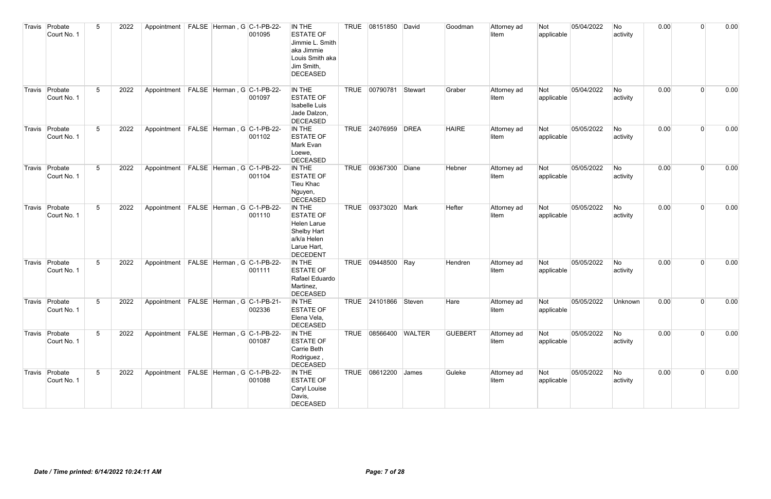|        | Travis Probate<br>Court No. 1 |                 | 2022 | Appointment   FALSE   Herman, G   C-1-PB-22- |  | 001095 | IN THE<br><b>ESTATE OF</b><br>Jimmie L. Smith<br>aka Jimmie<br>Louis Smith aka<br>Jim Smith,<br><b>DECEASED</b> | <b>TRUE</b> | 08151850             | David   | Goodman        | Attorney ad<br>litem | Not<br>applicable | 05/04/2022 | No<br>activity        | 0.00 |          | 0.00 |
|--------|-------------------------------|-----------------|------|----------------------------------------------|--|--------|-----------------------------------------------------------------------------------------------------------------|-------------|----------------------|---------|----------------|----------------------|-------------------|------------|-----------------------|------|----------|------|
|        | Travis Probate<br>Court No. 1 | 5               | 2022 | Appointment   FALSE   Herman, G   C-1-PB-22- |  | 001097 | IN THE<br><b>ESTATE OF</b><br><b>Isabelle Luis</b><br>Jade Dalzon,<br><b>DECEASED</b>                           | <b>TRUE</b> | 00790781             | Stewart | Graber         | Attorney ad<br>litem | Not<br>applicable | 05/04/2022 | No<br>activity        | 0.00 |          | 0.00 |
|        | Travis Probate<br>Court No. 1 | $5\overline{)}$ | 2022 | Appointment   FALSE   Herman, G   C-1-PB-22- |  | 001102 | IN THE<br><b>ESTATE OF</b><br>Mark Evan<br>Loewe,<br><b>DECEASED</b>                                            | <b>TRUE</b> | 24076959             | DREA    | <b>HAIRE</b>   | Attorney ad<br>litem | Not<br>applicable | 05/05/2022 | No<br>activity        | 0.00 | $\Omega$ | 0.00 |
| Travis | Probate<br>Court No. 1        | 5               | 2022 | Appointment   FALSE   Herman, G   C-1-PB-22- |  | 001104 | IN THE<br><b>ESTATE OF</b><br>Tieu Khac<br>Nguyen,<br>DECEASED                                                  | <b>TRUE</b> | 09367300             | Diane   | Hebner         | Attorney ad<br>litem | Not<br>applicable | 05/05/2022 | No<br>activity        | 0.00 | $\Omega$ | 0.00 |
|        | Travis Probate<br>Court No. 1 | $5\overline{)}$ | 2022 | Appointment   FALSE   Herman, G C-1-PB-22-   |  | 001110 | IN THE<br><b>ESTATE OF</b><br>Helen Larue<br>Shelby Hart<br>a/k/a Helen<br>Larue Hart,<br>DECEDENT              | <b>TRUE</b> | 09373020 Mark        |         | Hefter         | Attorney ad<br>litem | Not<br>applicable | 05/05/2022 | No<br>activity        | 0.00 |          | 0.00 |
| Travis | Probate<br>Court No. 1        | $5\overline{)}$ | 2022 | Appointment   FALSE   Herman, G   C-1-PB-22- |  | 001111 | IN THE<br><b>ESTATE OF</b><br>Rafael Eduardo<br>Martinez,<br><b>DECEASED</b>                                    | <b>TRUE</b> | 09448500 Ray         |         | Hendren        | Attorney ad<br>litem | Not<br>applicable | 05/05/2022 | <b>No</b><br>activity | 0.00 | $\Omega$ | 0.00 |
|        | Travis Probate<br>Court No. 1 | 5               | 2022 | Appointment   FALSE   Herman, G   C-1-PB-21- |  | 002336 | IN THE<br><b>ESTATE OF</b><br>Elena Vela,<br><b>DECEASED</b>                                                    |             | TRUE 24101866 Steven |         | Hare           | Attorney ad<br>litem | Not<br>applicable | 05/05/2022 | Unknown               | 0.00 | $\Omega$ | 0.00 |
|        | Travis Probate<br>Court No. 1 | $5\overline{)}$ | 2022 | Appointment   FALSE   Herman, G   C-1-PB-22- |  | 001087 | IN THE<br><b>ESTATE OF</b><br>Carrie Beth<br>Rodriguez,<br><b>DECEASED</b>                                      |             |                      |         | <b>GUEBERT</b> | Attorney ad<br>litem | Not<br>applicable | 05/05/2022 | No<br>activity        | 0.00 | $\Omega$ | 0.00 |
|        | Travis Probate<br>Court No. 1 | $5\overline{)}$ | 2022 | Appointment   FALSE   Herman, G   C-1-PB-22- |  | 001088 | IN THE<br><b>ESTATE OF</b><br>Caryl Louise<br>Davis,<br><b>DECEASED</b>                                         | <b>TRUE</b> | 08612200 James       |         | Guleke         | Attorney ad<br>litem | Not<br>applicable | 05/05/2022 | No<br>activity        | 0.00 | $\Omega$ | 0.00 |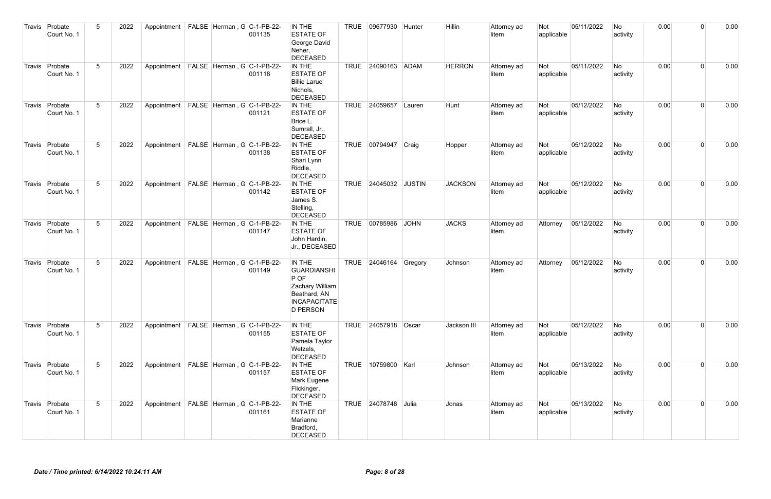| Travis | Probate<br>Court No. 1        |                 | 2022 | Appointment   FALSE   Herman, G   C-1-PB-22- |  | 001135 | IN THE<br><b>ESTATE OF</b><br>George David<br>Neher,<br><b>DECEASED</b>                                      | <b>TRUE</b> | 09677930            | Hunter            | Hillin         | Attorney ad<br>litem | Not<br>applicable | 05/11/2022 | No<br>activity        | 0.00 |          | 0.00 |
|--------|-------------------------------|-----------------|------|----------------------------------------------|--|--------|--------------------------------------------------------------------------------------------------------------|-------------|---------------------|-------------------|----------------|----------------------|-------------------|------------|-----------------------|------|----------|------|
| Travis | Probate<br>Court No. 1        | 5               | 2022 | Appointment   FALSE   Herman, G   C-1-PB-22- |  | 001118 | IN THE<br><b>ESTATE OF</b><br><b>Billie Larue</b><br>Nichols,<br><b>DECEASED</b>                             | <b>TRUE</b> | 24090163            | ADAM              | <b>HERRON</b>  | Attorney ad<br>litem | Not<br>applicable | 05/11/2022 | No<br>activity        | 0.00 | $\Omega$ | 0.00 |
|        | Travis Probate<br>Court No. 1 | 5               | 2022 | Appointment FALSE Herman, G C-1-PB-22-       |  | 001121 | IN THE<br><b>ESTATE OF</b><br>Brice L.<br>Sumrall, Jr.,<br><b>DECEASED</b>                                   | <b>TRUE</b> | 24059657            | Lauren            | Hunt           | Attorney ad<br>litem | Not<br>applicable | 05/12/2022 | No<br>activity        | 0.00 | U        | 0.00 |
| Travis | Probate<br>Court No. 1        | $5\overline{)}$ | 2022 | Appointment   FALSE   Herman, G   C-1-PB-22- |  | 001138 | IN THE<br><b>ESTATE OF</b><br>Shari Lynn<br>Riddle,<br><b>DECEASED</b>                                       | <b>TRUE</b> | 00794947            | C <sub>raig</sub> | Hopper         | Attorney ad<br>litem | Not<br>applicable | 05/12/2022 | <b>No</b><br>activity | 0.00 | $\Omega$ | 0.00 |
|        | Travis Probate<br>Court No. 1 | $5\phantom{.0}$ | 2022 | Appointment   FALSE   Herman, G   C-1-PB-22- |  | 001142 | IN THE<br><b>ESTATE OF</b><br>James S.<br>Stelling,<br><b>DECEASED</b>                                       | <b>TRUE</b> | 24045032 JUSTIN     |                   | <b>JACKSON</b> | Attorney ad<br>litem | Not<br>applicable | 05/12/2022 | No<br>activity        | 0.00 | $\Omega$ | 0.00 |
|        | Travis Probate<br>Court No. 1 | $5\overline{)}$ | 2022 | Appointment   FALSE   Herman, G   C-1-PB-22- |  | 001147 | IN THE<br><b>ESTATE OF</b><br>John Hardin,<br>Jr., DECEASED                                                  | <b>TRUE</b> | 00785986 JOHN       |                   | <b>JACKS</b>   | Attorney ad<br>litem | Attorney          | 05/12/2022 | <b>No</b><br>activity | 0.00 |          | 0.00 |
|        | Travis Probate<br>Court No. 1 | $5\overline{)}$ | 2022 | Appointment   FALSE   Herman, G   C-1-PB-22- |  | 001149 | IN THE<br><b>GUARDIANSHI</b><br>$P$ OF<br>Zachary William<br>Beathard, AN<br><b>INCAPACITATE</b><br>D PERSON | <b>TRUE</b> | 24046164            | Gregory           | Johnson        | Attorney ad<br>litem | Attorney          | 05/12/2022 | No<br>activity        | 0.00 | $\Omega$ | 0.00 |
|        | Travis Probate<br>Court No. 1 | $5\overline{)}$ | 2022 | Appointment   FALSE   Herman, G   C-1-PB-22- |  | 001155 | IN THE<br><b>ESTATE OF</b><br>Pamela Taylor<br>Wetzels,<br><b>DECEASED</b>                                   |             | TRUE 24057918 Oscar |                   | Jackson III    | Attorney ad<br>litem | Not<br>applicable | 05/12/2022 | No<br>activity        | 0.00 | $\Omega$ | 0.00 |
|        | Travis Probate<br>Court No. 1 | $5\overline{)}$ | 2022 | Appointment   FALSE   Herman, G   C-1-PB-22- |  | 001157 | IN THE<br><b>ESTATE OF</b><br>Mark Eugene<br>Flickinger,<br>DECEASED                                         | <b>TRUE</b> | 10759800 Karl       |                   | Johnson        | Attorney ad<br>litem | Not<br>applicable | 05/13/2022 | No<br>activity        | 0.00 | $\Omega$ | 0.00 |
|        | Travis Probate<br>Court No. 1 | 5 <sup>5</sup>  | 2022 | Appointment   FALSE   Herman, G C-1-PB-22-   |  | 001161 | IN THE<br><b>ESTATE OF</b><br>Marianne<br>Bradford,<br><b>DECEASED</b>                                       |             | TRUE 24078748 Julia |                   | Jonas          | Attorney ad<br>litem | Not<br>applicable | 05/13/2022 | No<br>activity        | 0.00 | $\Omega$ | 0.00 |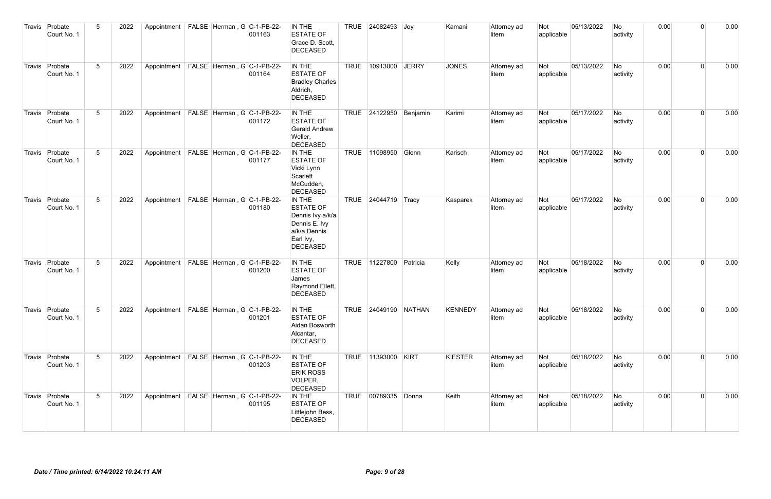|        | Travis Probate<br>Court No. 1 |                 | 2022 | Appointment   FALSE   Herman, G   C-1-PB-22- |  | 001163 | IN THE<br><b>ESTATE OF</b><br>Grace D. Scott,<br><b>DECEASED</b>                                                | <b>TRUE</b> | 24082493 Joy        |              | Kamani         | Attorney ad<br>litem | Not<br>applicable | 05/13/2022 | No<br>activity             | 0.00 | U        | 0.00 |
|--------|-------------------------------|-----------------|------|----------------------------------------------|--|--------|-----------------------------------------------------------------------------------------------------------------|-------------|---------------------|--------------|----------------|----------------------|-------------------|------------|----------------------------|------|----------|------|
|        | Travis Probate<br>Court No. 1 | $5\overline{)}$ | 2022 | Appointment   FALSE   Herman, G C-1-PB-22-   |  | 001164 | IN THE<br><b>ESTATE OF</b><br><b>Bradley Charles</b><br>Aldrich,<br><b>DECEASED</b>                             | <b>TRUE</b> | 10913000            | <b>JERRY</b> | JONES          | Attorney ad<br>litem | Not<br>applicable | 05/13/2022 | N <sub>o</sub><br>activity | 0.00 | $\Omega$ | 0.00 |
|        | Travis Probate<br>Court No. 1 | $5\overline{)}$ | 2022 | Appointment   FALSE   Herman, G   C-1-PB-22- |  | 001172 | IN THE<br><b>ESTATE OF</b><br><b>Gerald Andrew</b><br>Weller,<br><b>DECEASED</b>                                |             | TRUE 24122950       | Benjamin     | Karimi         | Attorney ad<br>litem | Not<br>applicable | 05/17/2022 | No<br>activity             | 0.00 | $\Omega$ | 0.00 |
| Travis | Probate<br>Court No. 1        | 5               | 2022 | Appointment   FALSE   Herman, G   C-1-PB-22- |  | 001177 | IN THE<br><b>ESTATE OF</b><br>Vicki Lynn<br>Scarlett<br>McCudden,<br><b>DECEASED</b>                            | <b>TRUE</b> | 11098950            | Glenn        | Karisch        | Attorney ad<br>litem | Not<br>applicable | 05/17/2022 | No<br>activity             | 0.00 | $\Omega$ | 0.00 |
|        | Travis Probate<br>Court No. 1 | $5\overline{)}$ | 2022 | Appointment   FALSE   Herman, G   C-1-PB-22- |  | 001180 | IN THE<br><b>ESTATE OF</b><br>Dennis Ivy a/k/a<br>Dennis E. Ivy<br>a/k/a Dennis<br>Earl Ivy,<br><b>DECEASED</b> | <b>TRUE</b> | 24044719 Tracy      |              | Kasparek       | Attorney ad<br>litem | Not<br>applicable | 05/17/2022 | No<br>activity             | 0.00 | $\Omega$ | 0.00 |
|        | Travis Probate<br>Court No. 1 | $5\overline{)}$ | 2022 | Appointment FALSE Herman, G C-1-PB-22-       |  | 001200 | IN THE<br><b>ESTATE OF</b><br>James<br>Raymond Ellett,<br><b>DECEASED</b>                                       | <b>TRUE</b> | 11227800            | Patricia     | Kelly          | Attorney ad<br>litem | Not<br>applicable | 05/18/2022 | N <sub>o</sub><br>activity | 0.00 | $\Omega$ | 0.00 |
|        | Travis Probate<br>Court No. 1 | 5               | 2022 | Appointment   FALSE   Herman, G   C-1-PB-22- |  | 001201 | IN THE<br><b>ESTATE OF</b><br>Aidan Bosworth<br>Alcantar,<br><b>DECEASED</b>                                    | <b>TRUE</b> | 24049190 NATHAN     |              | KENNEDY        | Attorney ad<br>litem | Not<br>applicable | 05/18/2022 | No<br>activity             | 0.00 | $\Omega$ | 0.00 |
|        | Travis Probate<br>Court No. 1 | $5\overline{)}$ | 2022 | Appointment   FALSE   Herman, G   C-1-PB-22- |  | 001203 | IN THE<br><b>ESTATE OF</b><br><b>ERIK ROSS</b><br>VOLPER,<br>DECEASED                                           | <b>TRUE</b> | 11393000 KIRT       |              | <b>KIESTER</b> | Attorney ad<br>litem | Not<br>applicable | 05/18/2022 | No<br>activity             | 0.00 | $\Omega$ | 0.00 |
|        | Travis Probate<br>Court No. 1 | $5\overline{)}$ | 2022 | Appointment   FALSE   Herman, G   C-1-PB-22- |  | 001195 | IN THE<br><b>ESTATE OF</b><br>Littlejohn Bess,<br><b>DECEASED</b>                                               |             | TRUE 00789335 Donna |              | Keith          | Attorney ad<br>litem | Not<br>applicable | 05/18/2022 | No<br>activity             | 0.00 |          | 0.00 |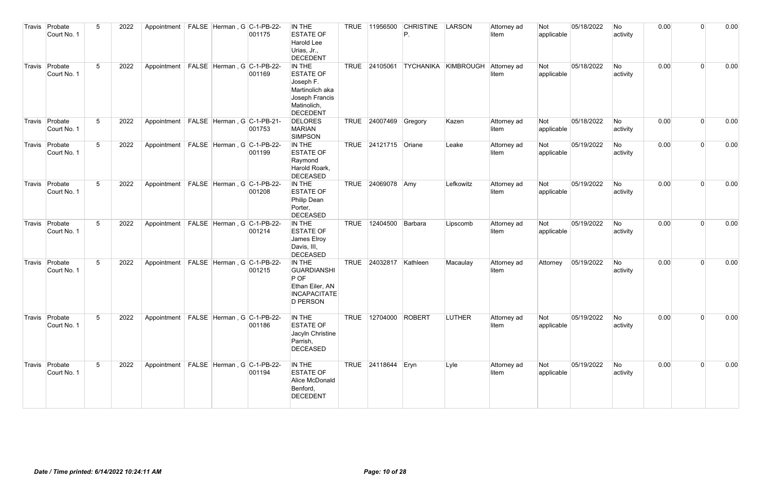| Travis | Probate<br>Court No. 1        |                | 2022 | Appointment   FALSE   Herman, G   C-1-PB-22- |  | 001175 | IN THE<br><b>ESTATE OF</b><br>Harold Lee<br>Urias, Jr.,<br>DECEDENT                                     | <b>TRUE</b> | 11956500           | <b>CHRISTINE</b><br>Р. | LARSON              | Attorney ad<br>litem | Not<br>applicable | 05/18/2022 | No<br>activity | 0.00 |                | 0.00 |
|--------|-------------------------------|----------------|------|----------------------------------------------|--|--------|---------------------------------------------------------------------------------------------------------|-------------|--------------------|------------------------|---------------------|----------------------|-------------------|------------|----------------|------|----------------|------|
| Travis | Probate<br>Court No. 1        | 5 <sup>5</sup> | 2022 | Appointment   FALSE   Herman, G   C-1-PB-22- |  | 001169 | IN THE<br><b>ESTATE OF</b><br>Joseph F.<br>Martinolich aka<br>Joseph Francis<br>Matinolich,<br>DECEDENT | <b>TRUE</b> | 24105061           |                        | TYCHANIKA KIMBROUGH | Attorney ad<br>litem | Not<br>applicable | 05/18/2022 | No<br>activity | 0.00 | $\overline{0}$ | 0.00 |
| Travis | Probate<br>Court No. 1        | $5^{\circ}$    | 2022 | Appointment   FALSE   Herman, G   C-1-PB-21- |  | 001753 | <b>DELORES</b><br><b>MARIAN</b><br><b>SIMPSON</b>                                                       | <b>TRUE</b> | 24007469           | Gregory                | Kazen               | Attorney ad<br>litem | Not<br>applicable | 05/18/2022 | No<br>activity | 0.00 | $\Omega$       | 0.00 |
| Travis | Probate<br>Court No. 1        | 5              | 2022 | Appointment   FALSE   Herman, G C-1-PB-22-   |  | 001199 | IN THE<br><b>ESTATE OF</b><br>Raymond<br>Harold Roark,<br><b>DECEASED</b>                               | <b>TRUE</b> | 24121715 Oriane    |                        | Leake               | Attorney ad<br>litem | Not<br>applicable | 05/19/2022 | No<br>activity | 0.00 | $\Omega$       | 0.00 |
| Travis | Probate<br>Court No. 1        | 5              | 2022 | Appointment   FALSE   Herman, G   C-1-PB-22- |  | 001208 | IN THE<br><b>ESTATE OF</b><br>Philip Dean<br>Porter,<br><b>DECEASED</b>                                 | <b>TRUE</b> | 24069078 Amy       |                        | Lefkowitz           | Attorney ad<br>litem | Not<br>applicable | 05/19/2022 | No<br>activity | 0.00 | $\Omega$       | 0.00 |
| Travis | Probate<br>Court No. 1        | 5              | 2022 | Appointment   FALSE   Herman, G   C-1-PB-22- |  | 001214 | IN THE<br><b>ESTATE OF</b><br>James Elroy<br>Davis, III,<br><b>DECEASED</b>                             | <b>TRUE</b> | 12404500           | Barbara                | Lipscomb            | Attorney ad<br>litem | Not<br>applicable | 05/19/2022 | No<br>activity | 0.00 | $\Omega$       | 0.00 |
| Travis | Probate<br>Court No. 1        | 5 <sup>5</sup> | 2022 | Appointment   FALSE   Herman, G   C-1-PB-22- |  | 001215 | IN THE<br><b>GUARDIANSHI</b><br>$P$ OF<br>Ethan Eiler, AN<br><b>INCAPACITATE</b><br>D PERSON            | <b>TRUE</b> | 24032817           | Kathleen               | Macaulay            | Attorney ad<br>litem | Attorney          | 05/19/2022 | No<br>activity | 0.00 | $\overline{0}$ | 0.00 |
|        | Travis Probate<br>Court No. 1 | $5^{\circ}$    | 2022 | Appointment   FALSE   Herman, G   C-1-PB-22- |  | 001186 | IN THE<br><b>ESTATE OF</b><br>Jacyln Christine<br>Parrish,<br><b>DECEASED</b>                           | <b>TRUE</b> | 12704000 ROBERT    |                        | <b>LUTHER</b>       | Attorney ad<br>litem | Not<br>applicable | 05/19/2022 | No<br>activity | 0.00 | 0              | 0.00 |
| Travis | Probate<br>Court No. 1        | $5^{\circ}$    | 2022 | Appointment   FALSE   Herman, G   C-1-PB-22- |  | 001194 | IN THE<br><b>ESTATE OF</b><br>Alice McDonald<br>Benford,<br><b>DECEDENT</b>                             |             | TRUE 24118644 Eryn |                        | Lyle                | Attorney ad<br>litem | Not<br>applicable | 05/19/2022 | No<br>activity | 0.00 | $\Omega$       | 0.00 |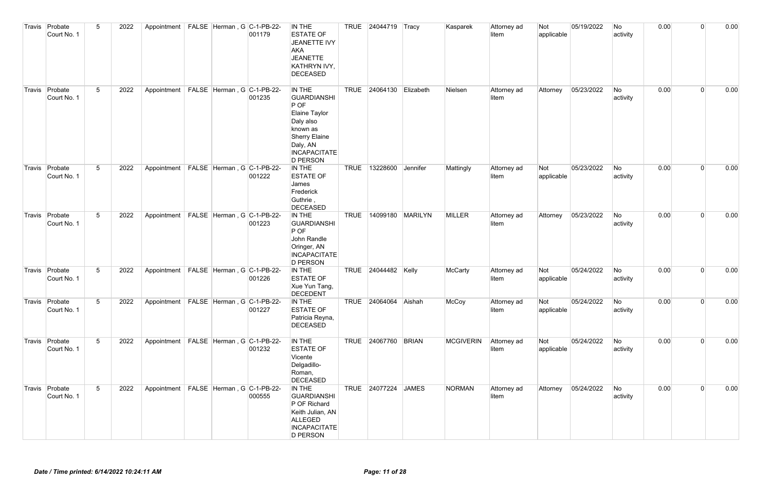| Travis | Probate<br>Court No. 1        |                 | 2022 | Appointment   FALSE   Herman, G   C-1-PB-22- |  | 001179 | IN THE<br><b>ESTATE OF</b><br><b>JEANETTE IVY</b><br><b>AKA</b><br><b>JEANETTE</b><br>KATHRYN IVY,<br><b>DECEASED</b>                                   | <b>TRUE</b> | 24044719 Tracy       |                  | Kasparek         | Attorney ad<br>litem | Not<br>applicable | 05/19/2022 | No<br>activity | 0.00 |          | 0.00 |
|--------|-------------------------------|-----------------|------|----------------------------------------------|--|--------|---------------------------------------------------------------------------------------------------------------------------------------------------------|-------------|----------------------|------------------|------------------|----------------------|-------------------|------------|----------------|------|----------|------|
| Travis | Probate<br>Court No. 1        | 5               | 2022 | Appointment   FALSE   Herman, G   C-1-PB-22- |  | 001235 | IN THE<br><b>GUARDIANSHI</b><br>$P$ OF<br>Elaine Taylor<br>Daly also<br>known as<br><b>Sherry Elaine</b><br>Daly, AN<br><b>INCAPACITATE</b><br>D PERSON | <b>TRUE</b> | $24064130$ Elizabeth |                  | Nielsen          | Attorney ad<br>litem | Attorney          | 05/23/2022 | No<br>activity | 0.00 | $\Omega$ | 0.00 |
| Travis | Probate<br>Court No. 1        | $5\overline{)}$ | 2022 | Appointment   FALSE   Herman, G   C-1-PB-22- |  | 001222 | IN THE<br><b>ESTATE OF</b><br>James<br>Frederick<br>Guthrie,<br><b>DECEASED</b>                                                                         | <b>TRUE</b> | 13228600             | Jennifer         | Mattingly        | Attorney ad<br>litem | Not<br>applicable | 05/23/2022 | No<br>activity | 0.00 | $\Omega$ | 0.00 |
|        | Travis Probate<br>Court No. 1 | 5               | 2022 | Appointment   FALSE   Herman, G   C-1-PB-22- |  | 001223 | IN THE<br><b>GUARDIANSHI</b><br>$P$ OF<br>John Randle<br>Oringer, AN<br><b>INCAPACITATE</b><br>D PERSON                                                 | <b>TRUE</b> |                      | 14099180 MARILYN | MILLER           | Attorney ad<br>litem | Attorney          | 05/23/2022 | No<br>activity | 0.00 |          | 0.00 |
| Travis | Probate<br>Court No. 1        | $5\overline{)}$ | 2022 | Appointment   FALSE   Herman, G   C-1-PB-22- |  | 001226 | IN THE<br><b>ESTATE OF</b><br>Xue Yun Tang,<br>DECEDENT                                                                                                 | <b>TRUE</b> | 24044482 Kelly       |                  | McCarty          | Attorney ad<br>litem | Not<br>applicable | 05/24/2022 | No<br>activity | 0.00 | $\Omega$ | 0.00 |
|        | Travis Probate<br>Court No. 1 | 5               | 2022 | Appointment   FALSE   Herman, G   C-1-PB-22- |  | 001227 | IN THE<br><b>ESTATE OF</b><br>Patricia Reyna,<br><b>DECEASED</b>                                                                                        |             | TRUE 24064064 Aishah |                  | McCoy            | Attorney ad<br>litem | Not<br>applicable | 05/24/2022 | No<br>activity | 0.00 | $\Omega$ | 0.00 |
|        | Travis Probate<br>Court No. 1 | $5\phantom{.0}$ | 2022 | Appointment   FALSE   Herman, G   C-1-PB-22- |  | 001232 | IN THE<br><b>ESTATE OF</b><br>Vicente<br>Delgadillo-<br>Roman,<br><b>DECEASED</b>                                                                       |             | TRUE 24067760 BRIAN  |                  | <b>MCGIVERIN</b> | Attorney ad<br>litem | Not<br>applicable | 05/24/2022 | No<br>activity | 0.00 |          | 0.00 |
|        | Travis Probate<br>Court No. 1 | $5\phantom{.0}$ | 2022 | Appointment   FALSE   Herman, G C-1-PB-22-   |  | 000555 | IN THE<br><b>GUARDIANSHI</b><br>P OF Richard<br>Keith Julian, AN<br>ALLEGED<br>INCAPACITATE<br>D PERSON                                                 |             | TRUE 24077224 JAMES  |                  | NORMAN           | Attorney ad<br>litem | Attorney          | 05/24/2022 | No<br>activity | 0.00 | $\Omega$ | 0.00 |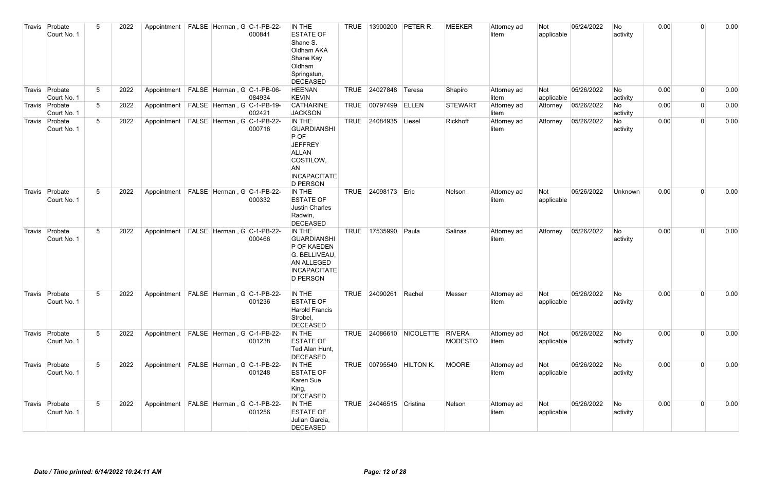| Travis | Probate<br>Court No. 1        |                 | 2022 | Appointment   FALSE   Herman, G   C-1-PB-22- |  | 000841 | IN THE<br><b>ESTATE OF</b><br>Shane S.<br>Oldham AKA<br>Shane Kay<br>Oldham<br>Springstun,<br>DECEASED                         | <b>TRUE</b> | 13900200                | PETER R.                  | <b>MEEKER</b> | Attorney ad<br>litem | Not<br>applicable | 05/24/2022 | No<br>activity | 0.00 |          | 0.00 |
|--------|-------------------------------|-----------------|------|----------------------------------------------|--|--------|--------------------------------------------------------------------------------------------------------------------------------|-------------|-------------------------|---------------------------|---------------|----------------------|-------------------|------------|----------------|------|----------|------|
|        | Travis Probate<br>Court No. 1 | $5^{\circ}$     | 2022 | Appointment   FALSE   Herman, G   C-1-PB-06- |  | 084934 | <b>HEENAN</b><br><b>KEVIN</b>                                                                                                  |             | TRUE 24027848 Teresa    |                           | Shapiro       | Attorney ad<br>litem | Not<br>applicable | 05/26/2022 | No<br>activity | 0.00 | $\Omega$ | 0.00 |
| Travis | Probate<br>Court No. 1        | 5               | 2022 | Appointment   FALSE   Herman, G   C-1-PB-19- |  | 002421 | CATHARINE<br><b>JACKSON</b>                                                                                                    | <b>TRUE</b> | 00797499 ELLEN          |                           | STEWART       | Attorney ad<br>litem | Attorney          | 05/26/2022 | No<br>activity | 0.00 | $\Omega$ | 0.00 |
| Travis | Probate<br>Court No. 1        | 5               | 2022 | Appointment   FALSE   Herman, G   C-1-PB-22- |  | 000716 | IN THE<br><b>GUARDIANSHI</b><br>$P$ OF<br><b>JEFFREY</b><br><b>ALLAN</b><br>COSTILOW,<br>AN<br><b>INCAPACITATE</b><br>D PERSON | <b>TRUE</b> | 24084935                | Liesel                    | Rickhoff      | Attorney ad<br>litem | Attorney          | 05/26/2022 | No<br>activity | 0.00 | $\Omega$ | 0.00 |
| Travis | Probate<br>Court No. 1        | $5^{\circ}$     | 2022 | Appointment   FALSE   Herman, G   C-1-PB-22- |  | 000332 | IN THE<br><b>ESTATE OF</b><br><b>Justin Charles</b><br>Radwin,<br><b>DECEASED</b>                                              |             | TRUE 24098173 Eric      |                           | Nelson        | Attorney ad<br>litem | Not<br>applicable | 05/26/2022 | Unknown        | 0.00 | $\Omega$ | 0.00 |
| Travis | Probate<br>Court No. 1        | 5               | 2022 | Appointment   FALSE   Herman, G   C-1-PB-22- |  | 000466 | IN THE<br><b>GUARDIANSHI</b><br>P OF KAEDEN<br>G. BELLIVEAU,<br>AN ALLEGED<br><b>INCAPACITATE</b><br>D PERSON                  | <b>TRUE</b> | 17535990                | Paula                     | Salinas       | Attorney ad<br>litem | Attorney          | 05/26/2022 | No<br>activity | 0.00 | $\Omega$ | 0.00 |
|        | Travis Probate<br>Court No. 1 | 5               | 2022 | Appointment   FALSE   Herman, G   C-1-PB-22- |  | 001236 | IN THE<br><b>ESTATE OF</b><br>Harold Francis<br>Strobel,<br><b>DECEASED</b>                                                    | <b>TRUE</b> | 24090261                | Rachel                    | Messer        | Attorney ad<br>litem | Not<br>applicable | 05/26/2022 | No<br>activity | 0.00 | $\Omega$ | 0.00 |
| Travis | Probate<br>Court No. 1        | $5\overline{)}$ | 2022 | Appointment   FALSE   Herman, G   C-1-PB-22- |  | 001238 | IN THE<br><b>ESTATE OF</b><br>Ted Alan Hunt,<br><b>DECEASED</b>                                                                | <b>TRUE</b> |                         | 24086610 NICOLETTE RIVERA | MODESTO       | Attorney ad<br>litem | Not<br>applicable | 05/26/2022 | No<br>activity | 0.00 | $\Omega$ | 0.00 |
|        | Travis Probate<br>Court No. 1 | 5               | 2022 | Appointment   FALSE   Herman, G   C-1-PB-22- |  | 001248 | IN THE<br><b>ESTATE OF</b><br>Karen Sue<br>King,<br><b>DECEASED</b>                                                            |             | TRUE 00795540 HILTON K. |                           | MOORE         | Attorney ad<br>litem | Not<br>applicable | 05/26/2022 | No<br>activity | 0.00 | $\Omega$ | 0.00 |
| Travis | Probate<br>Court No. 1        | $5\overline{)}$ | 2022 | Appointment   FALSE   Herman, G   C-1-PB-22- |  | 001256 | IN THE<br><b>ESTATE OF</b><br>Julian Garcia,<br><b>DECEASED</b>                                                                |             | TRUE 24046515 Cristina  |                           | Nelson        | Attorney ad<br>litem | Not<br>applicable | 05/26/2022 | No<br>activity | 0.00 | $\Omega$ | 0.00 |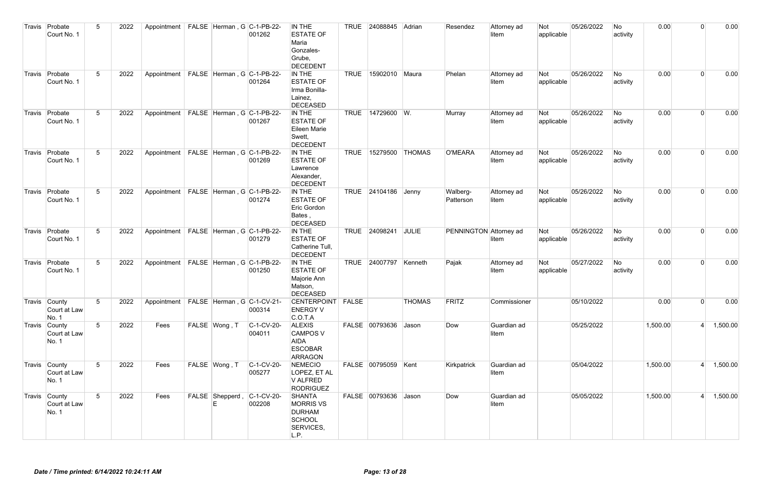| Travis | Probate<br>Court No. 1                 |                 | 2022 | Appointment   FALSE   Herman, G   C-1-PB-22- |               | 001262                               | IN THE<br><b>ESTATE OF</b><br>Maria<br>Gonzales-<br>Grube,<br><b>DECEDENT</b>     | <b>TRUE</b>  | 24088845             | Adrian        | Resendez               | Attorney ad<br>litem | Not<br>applicable | 05/26/2022 | No<br>activity | 0.00     |          | 0.00     |
|--------|----------------------------------------|-----------------|------|----------------------------------------------|---------------|--------------------------------------|-----------------------------------------------------------------------------------|--------------|----------------------|---------------|------------------------|----------------------|-------------------|------------|----------------|----------|----------|----------|
|        | Travis Probate<br>Court No. 1          | 5               | 2022 | Appointment   FALSE   Herman, G   C-1-PB-22- |               | 001264                               | IN THE<br><b>ESTATE OF</b><br>Irma Bonilla-<br>Lainez,<br><b>DECEASED</b>         | <b>TRUE</b>  | 15902010 Maura       |               | Phelan                 | Attorney ad<br>litem | Not<br>applicable | 05/26/2022 | No<br>activity | 0.00     | $\Omega$ | 0.00     |
|        | Travis Probate<br>Court No. 1          | 5               | 2022 | Appointment   FALSE   Herman, G   C-1-PB-22- |               | 001267                               | IN THE<br><b>ESTATE OF</b><br>Eileen Marie<br>Swett,<br><b>DECEDENT</b>           | <b>TRUE</b>  | 14729600 W.          |               | Murray                 | Attorney ad<br>litem | Not<br>applicable | 05/26/2022 | No<br>activity | 0.00     | $\Omega$ | 0.00     |
| Travis | Probate<br>Court No. 1                 | 5               | 2022 | Appointment   FALSE   Herman, G   C-1-PB-22- |               | 001269                               | IN THE<br><b>ESTATE OF</b><br>Lawrence<br>Alexander,<br><b>DECEDENT</b>           | <b>TRUE</b>  | 15279500 THOMAS      |               | O'MEARA                | Attorney ad<br>litem | Not<br>applicable | 05/26/2022 | No<br>activity | 0.00     | $\Omega$ | 0.00     |
|        | Travis Probate<br>Court No. 1          | $5\overline{)}$ | 2022 | Appointment   FALSE   Herman, G   C-1-PB-22- |               | 001274                               | IN THE<br><b>ESTATE OF</b><br>Eric Gordon<br><b>Bates</b><br><b>DECEASED</b>      |              | TRUE 24104186 Jenny  |               | Walberg-<br>Patterson  | Attorney ad<br>litem | Not<br>applicable | 05/26/2022 | No<br>activity | 0.00     | $\Omega$ | 0.00     |
|        | Travis Probate<br>Court No. 1          | $5\overline{)}$ | 2022 | Appointment   FALSE   Herman, G   C-1-PB-22- |               | 001279                               | IN THE<br><b>ESTATE OF</b><br>Catherine Tull,<br><b>DECEDENT</b>                  |              | TRUE 24098241        | JULIE         | PENNINGTON Attorney ad | litem                | Not<br>applicable | 05/26/2022 | No<br>activity | 0.00     | $\Omega$ | 0.00     |
|        | Travis Probate<br>Court No. 1          | 5               | 2022 | Appointment   FALSE   Herman, G   C-1-PB-22- |               | 001250                               | IN THE<br><b>ESTATE OF</b><br>Majorie Ann<br>Matson,<br>DECEASED                  | <b>TRUE</b>  | 24007797             | Kenneth       | Pajak                  | Attorney ad<br>litem | Not<br>applicable | 05/27/2022 | No<br>activity | 0.00     | $\Omega$ | 0.00     |
|        | Travis County<br>Court at Law<br>No. 1 | 5               | 2022 | Appointment   FALSE   Herman, G   C-1-CV-21- |               | 000314                               | CENTERPOINT<br><b>ENERGY V</b><br>C.O.T.A                                         | <b>FALSE</b> |                      | <b>THOMAS</b> | FRITZ                  | Commissioner         |                   | 05/10/2022 |                | 0.00     | 0        | 0.00     |
|        | Travis County<br>Court at Law<br>No. 1 | 5 <sup>5</sup>  | 2022 | Fees                                         | FALSE Wong, T | C-1-CV-20-<br>004011                 | <b>ALEXIS</b><br><b>CAMPOS V</b><br><b>AIDA</b><br><b>ESCOBAR</b><br>ARRAGON      |              | FALSE 00793636 Jason |               | Dow                    | Guardian ad<br>litem |                   | 05/25/2022 |                | 1,500.00 |          | 1,500.00 |
|        | Travis County<br>Court at Law<br>No. 1 | 5 <sup>5</sup>  | 2022 | Fees                                         | FALSE Wong, T | $ C-1-CV-20-$<br>005277              | <b>NEMECIO</b><br>LOPEZ, ET AL<br>V ALFRED<br><b>RODRIGUEZ</b>                    |              | FALSE 00795059 Kent  |               | Kirkpatrick            | Guardian ad<br>litem |                   | 05/04/2022 |                | 1,500.00 |          | 1,500.00 |
|        | Travis County<br>Court at Law<br>No. 1 | 5 <sup>5</sup>  | 2022 | Fees                                         | Е             | FALSE Shepperd, C-1-CV-20-<br>002208 | <b>SHANTA</b><br><b>MORRIS VS</b><br><b>DURHAM</b><br>SCHOOL<br>SERVICES,<br>L.P. |              | FALSE 00793636 Jason |               | Dow                    | Guardian ad<br>litem |                   | 05/05/2022 |                | 1,500.00 |          | 1,500.00 |